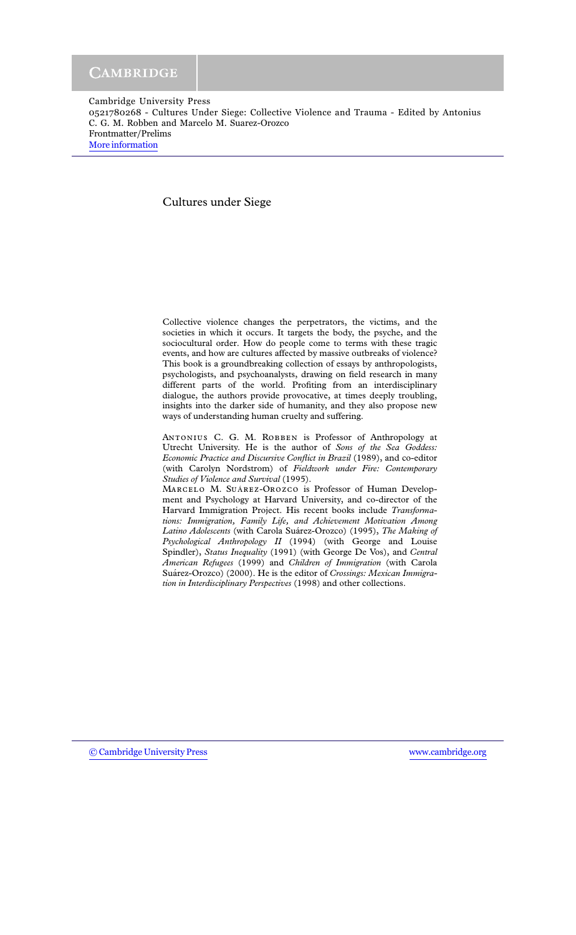#### Cultures under Siege

Collective violence changes the perpetrators, the victims, and the societies in which it occurs. It targets the body, the psyche, and the sociocultural order. How do people come to terms with these tragic events, and how are cultures affected by massive outbreaks of violence? This book is a groundbreaking collection of essays by anthropologists, psychologists, and psychoanalysts, drawing on field research in many different parts of the world. Profiting from an interdisciplinary dialogue, the authors provide provocative, at times deeply troubling, insights into the darker side of humanity, and they also propose new ways of understanding human cruelty and suffering.

ANTONIUS C. G. M. ROBBEN is Professor of Anthropology at Utrecht University. He is the author of Sons of the Sea Goddess: Economic Practice and Discursive Conflict in Brazil (1989), and co-editor (with Carolyn Nordstrom) of Fieldwork under Fire: Contemporary Studies of Violence and Survival (1995).

MARCELO M. SUÁREZ-OROZCO is Professor of Human Development and Psychology at Harvard University, and co-director of the Harvard Immigration Project. His recent books include Transformations: Immigration, Family Life, and Achievement Motivation Among Latino Adolescents (with Carola Suárez-Orozco) (1995), The Making of Psychological Anthropology II (1994) (with George and Louise Spindler), Status Inequality (1991) (with George De Vos), and Central American Refugees (1999) and Children of Immigration (with Carola Suárez-Orozco) (2000). He is the editor of Crossings: Mexican Immigration in Interdisciplinary Perspectives (1998) and other collections.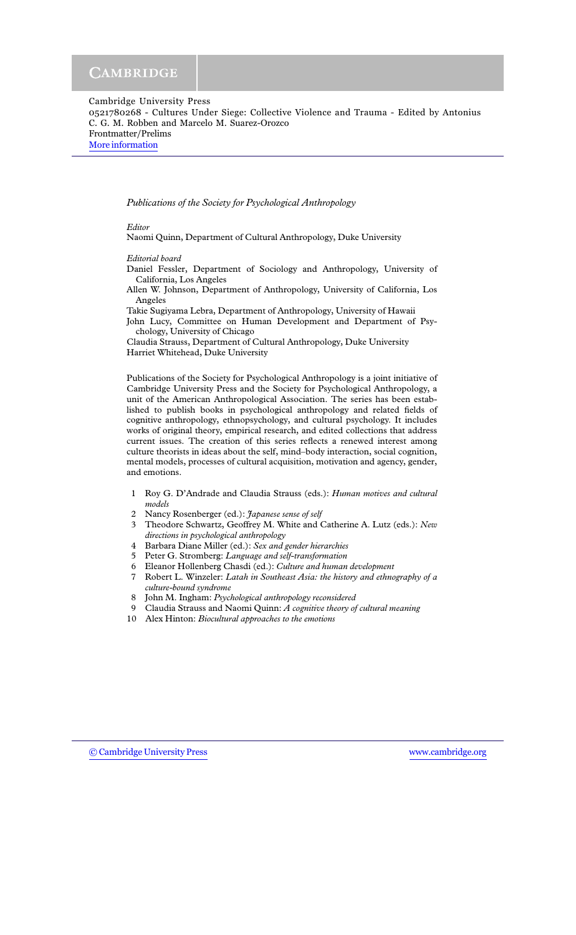#### Publications of the Society for Psychological Anthropology

#### Editor

Naomi Quinn, Department of Cultural Anthropology, Duke University

#### Editorial board

Daniel Fessler, Department of Sociology and Anthropology, University of California, Los Angeles

- Allen W. Johnson, Department of Anthropology, University of California, Los Angeles
- Takie Sugiyama Lebra, Department of Anthropology, University of Hawaii
- John Lucy, Committee on Human Development and Department of Psychology, University of Chicago

Claudia Strauss, Department of Cultural Anthropology, Duke University Harriet Whitehead, Duke University

Publications of the Society for Psychological Anthropology is a joint initiative of Cambridge University Press and the Society for Psychological Anthropology, a unit of the American Anthropological Association. The series has been established to publish books in psychological anthropology and related fields of cognitive anthropology, ethnopsychology, and cultural psychology. It includes works of original theory, empirical research, and edited collections that address current issues. The creation of this series reflects a renewed interest among culture theorists in ideas about the self, mind-body interaction, social cognition, mental models, processes of cultural acquisition, motivation and agency, gender, and emotions.

- 1 Roy G. D'Andrade and Claudia Strauss (eds.): Human motives and cultural models
- 2 Nancy Rosenberger (ed.): Japanese sense of self
- Theodore Schwartz, Geoffrey M. White and Catherine A. Lutz (eds.): New 3 directions in psychological anthropology
- 4 Barbara Diane Miller (ed.): Sex and gender hierarchies
- 5 Peter G. Stromberg: Language and self-transformation
- 6 Eleanor Hollenberg Chasdi (ed.): Culture and human development
- 7 Robert L. Winzeler: Latah in Southeast Asia: the history and ethnography of a culture-bound syndrome
- John M. Ingham: Psychological anthropology reconsidered 8
- 9 Claudia Strauss and Naomi Quinn: A cognitive theory of cultural meaning
- 10 Alex Hinton: Biocultural approaches to the emotions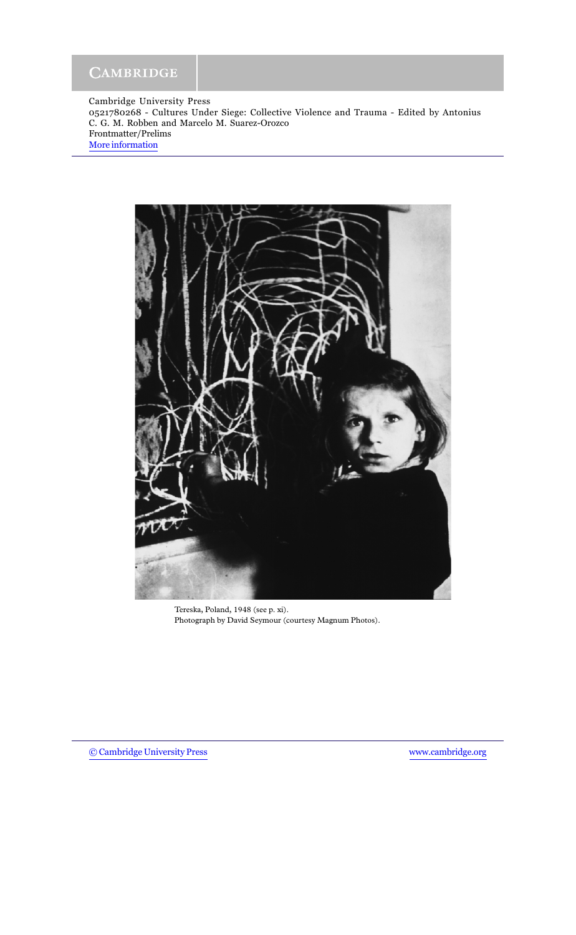### **CAMBRIDGE**

Cambridge University Press 0521780268 - Cultures Under Siege: Collective Violence and Trauma - Edited by Antonius<br>C. G. M. Robben and Marcelo M. Suarez-Orozco Frontmatter/Prelims More information



Tereska, Poland, 1948 (see p. xi). Photograph by David Seymour (courtesy Magnum Photos).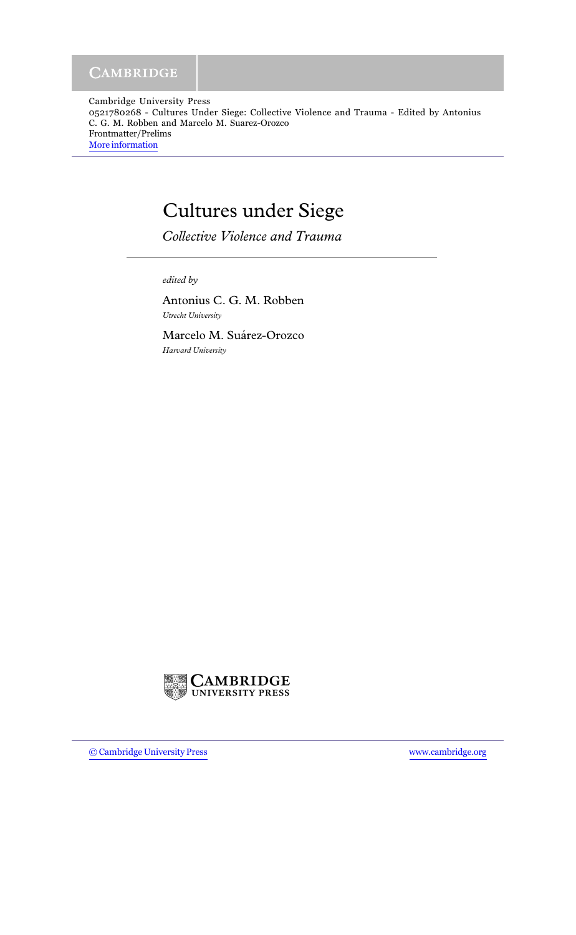# **Cultures under Siege**

Collective Violence and Trauma

edited by

Antonius C. G. M. Robben Utrecht University

Marcelo M. Suárez-Orozco Harvard University

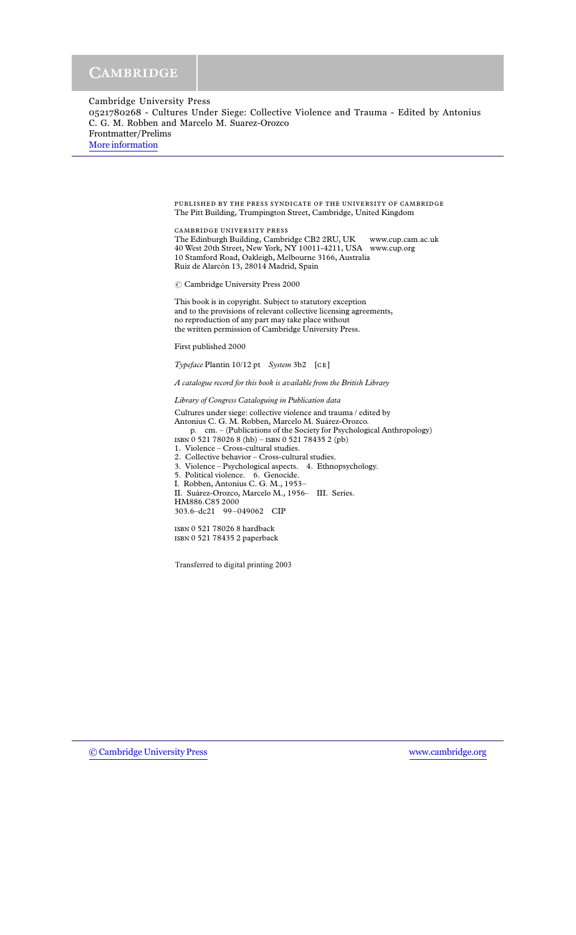> PUBLISHED BY THE PRESS SYNDICATE OF THE UNIVERSITY OF CAMBRIDGE The Pitt Building, Trumpington Street, Cambridge, United Kingdom

CAMBRIDGE UNIVERSITY PRESS The Edinburgh Building, Cambridge CB2 2RU, UK www.cu p.cam.ac.uk 40 West 20th Street, New York, NY 10011-4211, USA www.cup.org 10 Stamford Road, Oakleigh, Melbourne 3166, Australia Ruiz de Alarcón 13, 28014 Madrid, Spain

© Cambridge University Press 2000

This book is in copyright. Subject to statutory exception and to the provisions of relevant collective licensing agreements, no reproduction of any part may take place without the written permission of Cambridge University Press.

First published 2000

Typeface Plantin 10/12 pt System 3b2 [CE]

A catalogue record for this book is available from the British Library

Library of Congress Cataloguing in Publication data

Cultures under siege: collective violence and trauma / edited by Antonius C. G. M. Robben, Marcelo M. Suárez-Orozco. p. cm. - (Publications of the Society for Psychological Anthropology)  $ISBN 0 521 78026 8(hb) - ISBN 0 521 78435 2(bb)$ 1. Violence - Cross-cultural studies. 2. Collective behavior - Cross-cultural studies. 3. Violence - Psychological aspects. 4. Ethnopsychology. 5. Political violence. 6. Genocide.

I. Robben, Antonius C. G. M., 1953–

II. Suárez-Orozco, Marcelo M., 1956- III. Series. HM886.C85 2000 303.6-dc21 99-049062 CIP

ISBN 0521780268 hardback ISBN 0521784352 paperback

Transferred to digital printing 2003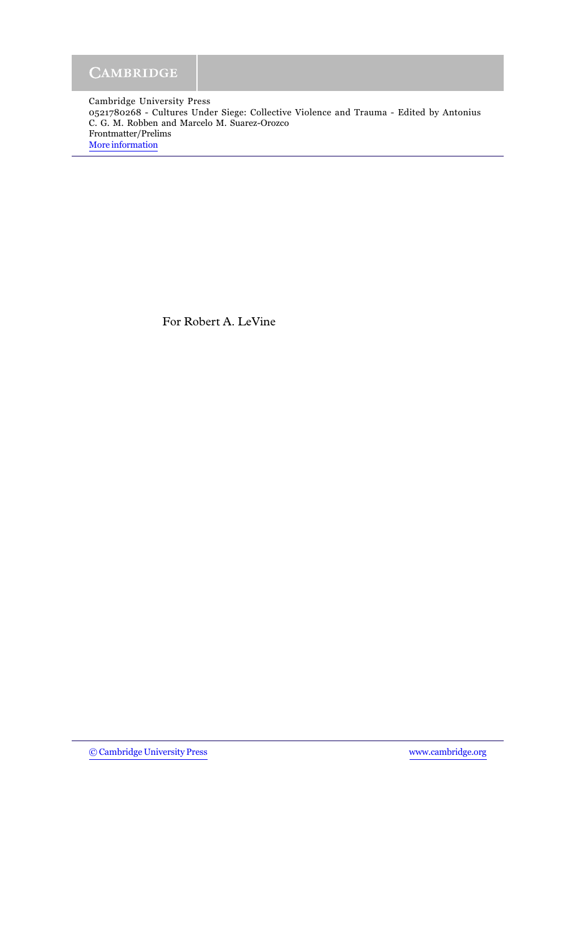For Robert A. LeVine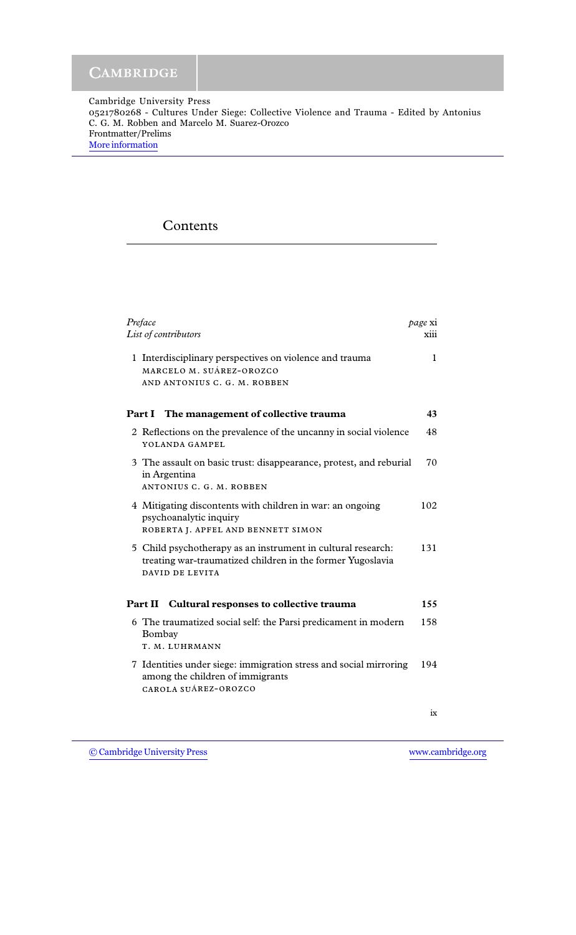## Contents

| Preface<br>List of contributors                                                                                                               | page xi<br>xiii |
|-----------------------------------------------------------------------------------------------------------------------------------------------|-----------------|
| 1 Interdisciplinary perspectives on violence and trauma<br>MARCELO M. SUÁREZ-OROZCO<br>AND ANTONIUS C. G. M. ROBBEN                           | 1               |
| The management of collective trauma<br>Part I                                                                                                 | 43              |
| 2 Reflections on the prevalence of the uncanny in social violence<br>YOLANDA GAMPEL                                                           | 48              |
| 3 The assault on basic trust: disappearance, protest, and reburial<br>in Argentina<br>ANTONIUS C. G. M. ROBBEN                                | 70              |
| 4 Mitigating discontents with children in war: an ongoing<br>psychoanalytic inquiry<br>ROBERTA J. APFEL AND BENNETT SIMON                     | 102             |
| 5 Child psychotherapy as an instrument in cultural research:<br>treating war-traumatized children in the former Yugoslavia<br>DAVID DE LEVITA | 131             |
| <b>Part II</b> Cultural responses to collective trauma                                                                                        | 155             |
| 6 The traumatized social self: the Parsi predicament in modern<br>Bombay<br>T. M. LUHRMANN                                                    | 158             |
| 7 Identities under siege: immigration stress and social mirroring<br>among the children of immigrants<br>CAROLA SUÁREZ-OROZCO                 | 194             |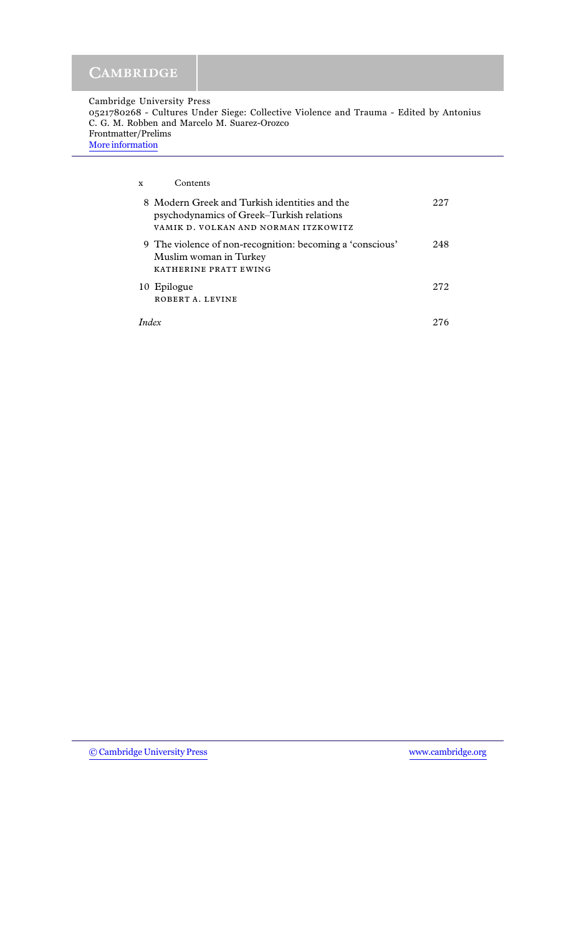| Cambridge University Press                                                             |  |
|----------------------------------------------------------------------------------------|--|
| 0521780268 - Cultures Under Siege: Collective Violence and Trauma - Edited by Antonius |  |
| C. G. M. Robben and Marcelo M. Suarez-Orozco                                           |  |
| Frontmatter/Prelims                                                                    |  |
| More information                                                                       |  |
|                                                                                        |  |

| x     | Contents                                                                                                                           |     |
|-------|------------------------------------------------------------------------------------------------------------------------------------|-----|
|       | 8 Modern Greek and Turkish identities and the<br>psychodynamics of Greek–Turkish relations<br>VAMIK D. VOLKAN AND NORMAN ITZKOWITZ | 227 |
|       | 9 The violence of non-recognition: becoming a 'conscious'<br>Muslim woman in Turkey<br>KATHERINE PRATT EWING                       | 248 |
|       | 10 Epilogue<br>ROBERT A. LEVINE                                                                                                    | 272 |
| Index |                                                                                                                                    |     |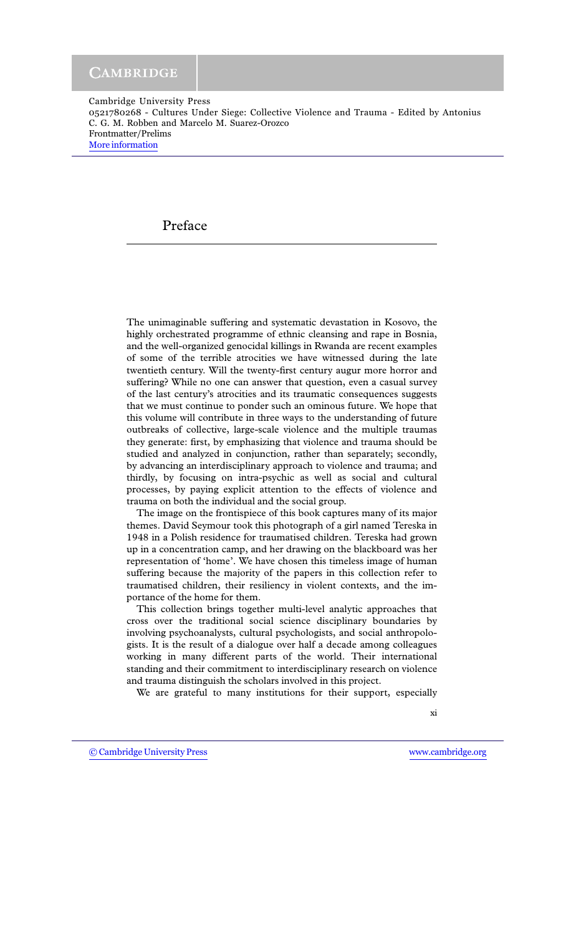## Preface

The unimaginable suffering and systematic devastation in Kosovo, the highly orchestrated programme of ethnic cleansing and rape in Bosnia, and the well-organized genocidal killings in Rwanda are recent examples of some of the terrible atrocities we have witnessed during the late twentieth century. Will the twenty-first century augur more horror and suffering? While no one can answer that question, even a casual survey of the last century's atrocities and its traumatic consequences suggests that we must continue to ponder such an ominous future. We hope that this volume will contribute in three ways to the understanding of future outbreaks of collective, large-scale violence and the multiple traumas they generate: first, by emphasizing that violence and trauma should be studied and analyzed in conjunction, rather than separately; secondly, by advancing an interdisciplinary approach to violence and trauma; and thirdly, by focusing on intra-psychic as well as social and cultural processes, by paying explicit attention to the effects of violence and trauma on both the individual and the social group.

The image on the frontispiece of this book captures many of its major themes. David Seymour took this photograph of a girl named Tereska in 1948 in a Polish residence for traumatised children. Tereska had grown up in a concentration camp, and her drawing on the blackboard was her representation of 'home'. We have chosen this timeless image of human suffering because the majority of the papers in this collection refer to traumatised children, their resiliency in violent contexts, and the importance of the home for them.

This collection brings together multi-level analytic approaches that cross over the traditional social science disciplinary boundaries by involving psychoanalysts, cultural psychologists, and social anthropologists. It is the result of a dialogue over half a decade among colleagues working in many different parts of the world. Their international standing and their commitment to interdisciplinary research on violence and trauma distinguish the scholars involved in this project.

We are grateful to many institutions for their support, especially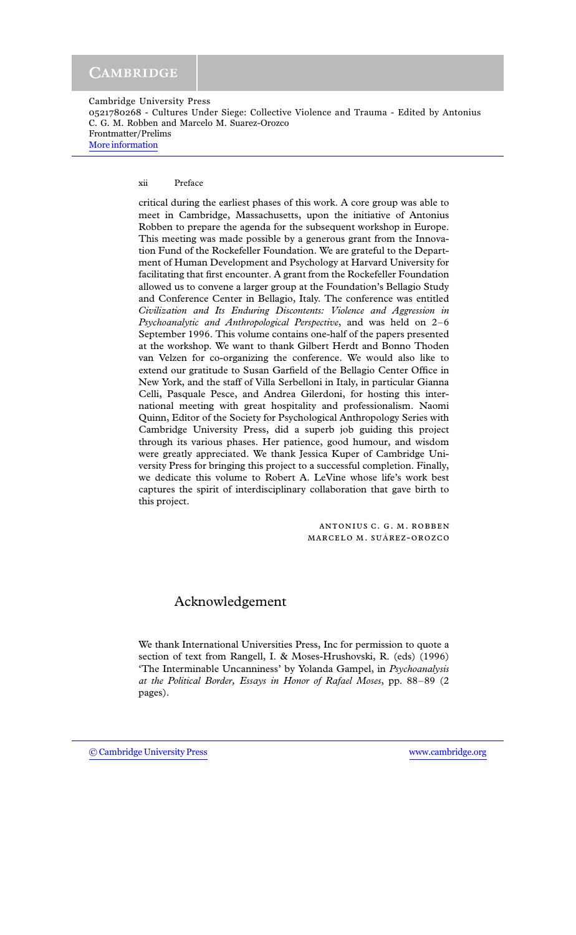#### Preface vii

critical during the earliest phases of this work. A core group was able to meet in Cambridge, Massachusetts, upon the initiative of Antonius Robben to prepare the agenda for the subsequent workshop in Europe. This meeting was made possible by a generous grant from the Innovation Fund of the Rockefeller Foundation. We are grateful to the Department of Human Development and Psychology at Harvard University for facilitating that first encounter. A grant from the Rockefeller Foundation allowed us to convene a larger group at the Foundation's Bellagio Study and Conference Center in Bellagio, Italy. The conference was entitled Civilization and Its Enduring Discontents: Violence and Aggression in Psychoanalytic and Anthropological Perspective, and was held on 2-6 September 1996. This volume contains one-half of the papers presented at the workshop. We want to thank Gilbert Herdt and Bonno Thoden van Velzen for co-organizing the conference. We would also like to extend our gratitude to Susan Garfield of the Bellagio Center Office in New York, and the staff of Villa Serbelloni in Italy, in particular Gianna Celli, Pasquale Pesce, and Andrea Gilerdoni, for hosting this international meeting with great hospitality and professionalism. Naomi Quinn, Editor of the Society for Psychological Anthropology Series with Cambridge University Press, did a superb job guiding this project through its various phases. Her patience, good humour, and wisdom were greatly appreciated. We thank Jessica Kuper of Cambridge University Press for bringing this project to a successful completion. Finally, we dedicate this volume to Robert A. LeVine whose life's work best captures the spirit of interdisciplinary collaboration that gave birth to this project.

> ANTONIUS C. G. M. ROBBEN MARCELO M. SUÁREZ-OROZCO

#### Acknowledgement

We thank International Universities Press, Inc for permission to quote a section of text from Rangell, I. & Moses-Hrushovski, R. (eds) (1996) 'The Interminable Uncanniness' by Yolanda Gampel, in Psychoanalysis at the Political Border, Essays in Honor of Rafael Moses, pp. 88-89 (2) pages).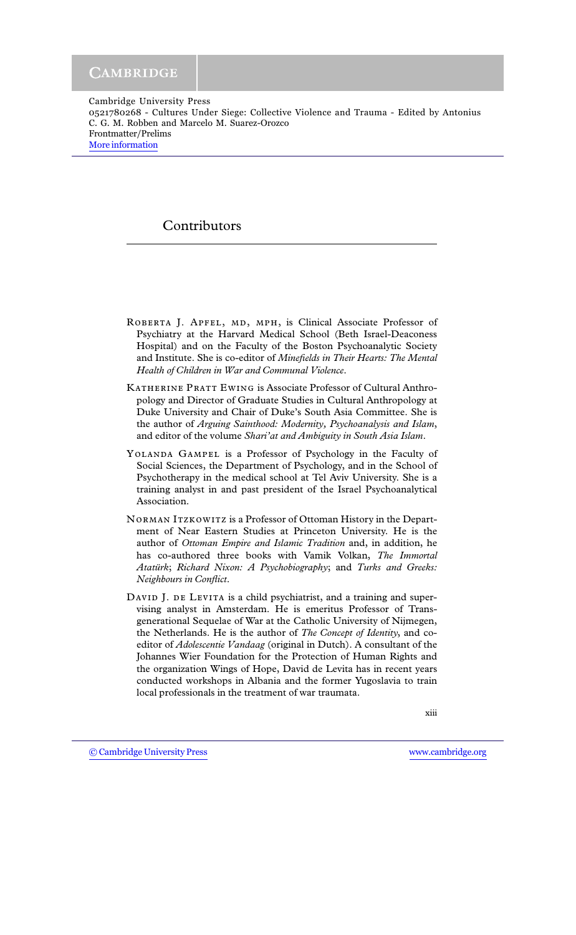## Contributors

- ROBERTA J. APFEL, MD, MPH, is Clinical Associate Professor of Psychiatry at the Harvard Medical School (Beth Israel-Deaconess Hospital) and on the Faculty of the Boston Psychoanalytic Society and Institute. She is co-editor of Minefields in Their Hearts: The Mental Health of Children in War and Communal Violence.
- KATHERINE PRATT EWING is Associate Professor of Cultural Anthropology and Director of Graduate Studies in Cultural Anthropology at Duke University and Chair of Duke's South Asia Committee. She is the author of Arguing Sainthood: Modernity, Psychoanalysis and Islam, and editor of the volume Shari'at and Ambiguity in South Asia Islam.
- YOLANDA GAMPEL is a Professor of Psychology in the Faculty of Social Sciences, the Department of Psychology, and in the School of Psychotherapy in the medical school at Tel Aviv University. She is a training analyst in and past president of the Israel Psychoanalytical Association.
- NORMAN ITZKOWITZ is a Professor of Ottoman History in the Department of Near Eastern Studies at Princeton University. He is the author of Ottoman Empire and Islamic Tradition and, in addition, he has co-authored three books with Vamik Volkan, The Immortal Atatürk; Richard Nixon: A Psychobiography; and Turks and Greeks: Neighbours in Conflict.
- DAVID J. DE LEVITA is a child psychiatrist, and a training and supervising analyst in Amsterdam. He is emeritus Professor of Transgenerational Sequelae of War at the Catholic University of Nijmegen, the Netherlands. He is the author of *The Concept of Identity*, and coeditor of Adolescentie Vandaag (original in Dutch). A consultant of the Johannes Wier Foundation for the Protection of Human Rights and the organization Wings of Hope, David de Levita has in recent years conducted workshops in Albania and the former Yugoslavia to train local professionals in the treatment of war traumata.

xiii